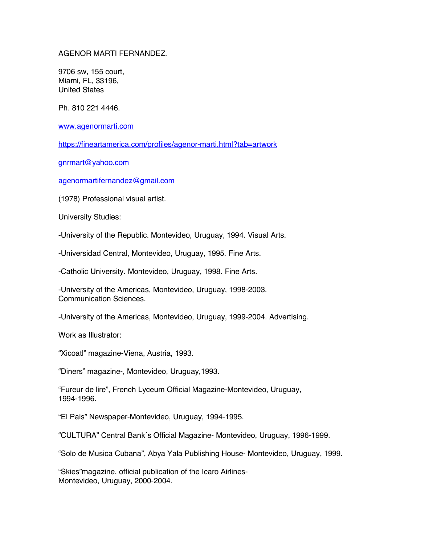## AGENOR MARTI FERNANDEZ.

9706 sw, 155 court, Miami, FL, 33196, United States

Ph. 810 221 4446.

www.agenormarti.com

https://fineartamerica.com/profiles/agenor-marti.html?tab=artwork

gnrmart@yahoo.com

agenormartifernandez@gmail.com

(1978) Professional visual artist.

University Studies:

-University of the Republic. Montevideo, Uruguay, 1994. Visual Arts.

-Universidad Central, Montevideo, Uruguay, 1995. Fine Arts.

-Catholic University. Montevideo, Uruguay, 1998. Fine Arts.

-University of the Americas, Montevideo, Uruguay, 1998-2003. Communication Sciences.

-University of the Americas, Montevideo, Uruguay, 1999-2004. Advertising.

Work as Illustrator:

"Xicoatl" magazine-Viena, Austria, 1993.

"Diners" magazine-, Montevideo, Uruguay,1993.

"Fureur de lire", French Lyceum Official Magazine-Montevideo, Uruguay, 1994-1996.

"El Pais" Newspaper-Montevideo, Uruguay, 1994-1995.

"CULTURA" Central Bank´s Official Magazine- Montevideo, Uruguay, 1996-1999.

"Solo de Musica Cubana", Abya Yala Publishing House- Montevideo, Uruguay, 1999.

"Skies"magazine, official publication of the Icaro Airlines-Montevideo, Uruguay, 2000-2004.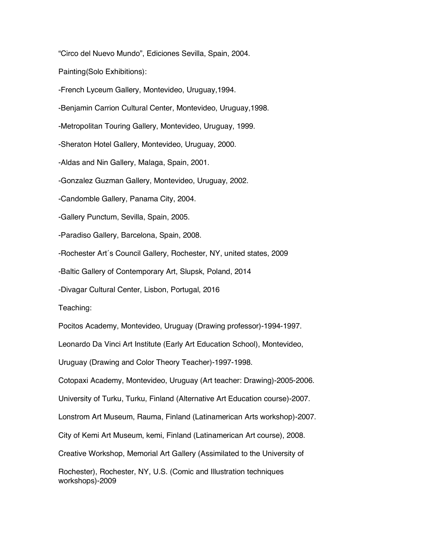"Circo del Nuevo Mundo", Ediciones Sevilla, Spain, 2004.

Painting(Solo Exhibitions):

-French Lyceum Gallery, Montevideo, Uruguay,1994.

-Benjamin Carrion Cultural Center, Montevideo, Uruguay,1998.

-Metropolitan Touring Gallery, Montevideo, Uruguay, 1999.

-Sheraton Hotel Gallery, Montevideo, Uruguay, 2000.

-Aldas and Nin Gallery, Malaga, Spain, 2001.

-Gonzalez Guzman Gallery, Montevideo, Uruguay, 2002.

-Candomble Gallery, Panama City, 2004.

-Gallery Punctum, Sevilla, Spain, 2005.

-Paradiso Gallery, Barcelona, Spain, 2008.

-Rochester Art´s Council Gallery, Rochester, NY, united states, 2009

-Baltic Gallery of Contemporary Art, Slupsk, Poland, 2014

-Divagar Cultural Center, Lisbon, Portugal, 2016

Teaching:

Pocitos Academy, Montevideo, Uruguay (Drawing professor)-1994-1997.

Leonardo Da Vinci Art Institute (Early Art Education School), Montevideo,

Uruguay (Drawing and Color Theory Teacher)-1997-1998.

Cotopaxi Academy, Montevideo, Uruguay (Art teacher: Drawing)-2005-2006.

University of Turku, Turku, Finland (Alternative Art Education course)-2007.

Lonstrom Art Museum, Rauma, Finland (Latinamerican Arts workshop)-2007.

City of Kemi Art Museum, kemi, Finland (Latinamerican Art course), 2008.

Creative Workshop, Memorial Art Gallery (Assimilated to the University of

Rochester), Rochester, NY, U.S. (Comic and Illustration techniques workshops)-2009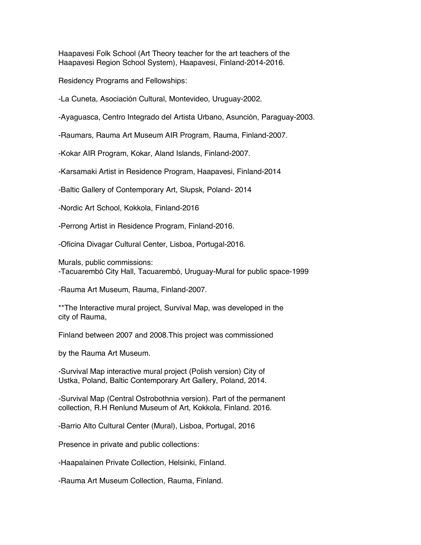Haapavesi Folk School (Art Theory teacher for the art teachers of the Haapavesi Region School System), Haapavesi, Finland-2014-2016.

Residency Programs and Fellowships:

-La Cuneta, Asociación Cultural, Montevideo, Uruguay-2002.

-Ayaguasca, Centro Integrado del Artista Urbano, Asunción, Paraguay-2003.

-Raumars, Rauma Art Museum AIR Program, Rauma, Finland-2007.

-Kokar AIR Program, Kokar, Aland Islands, Finland-2007.

-Karsamaki Artist in Residence Program, Haapavesi, Finland-2014

-Baltic Gallery of Contemporary Art, Slupsk, Poland- 2014

-Nordic Art School, Kokkola, Finland-2016

-Perrong Artist in Residence Program, Finland-2016.

-Oficina Divagar Cultural Center, Lisboa, Portugal-2016.

Murals, public commissions: -Tacuarembó City Hall, Tacuarembó, Uruguay-Mural for public space-1999

-Rauma Art Museum, Rauma, Finland-2007.

\*\*The Interactive mural project, Survival Map, was developed in the city of Rauma,

Finland between 2007 and 2008.This project was commissioned

by the Rauma Art Museum.

-Survival Map interactive mural project (Polish version) City of Ustka, Poland, Baltic Contemporary Art Gallery, Poland, 2014.

-Survival Map (Central Ostrobothnia version). Part of the permanent collection, R.H Renlund Museum of Art, Kokkola, Finland. 2016.

-Barrio Alto Cultural Center (Mural), Lisboa, Portugal, 2016

Presence in private and public collections:

-Haapalainen Private Collection, Helsinki, Finland.

-Rauma Art Museum Collection, Rauma, Finland.